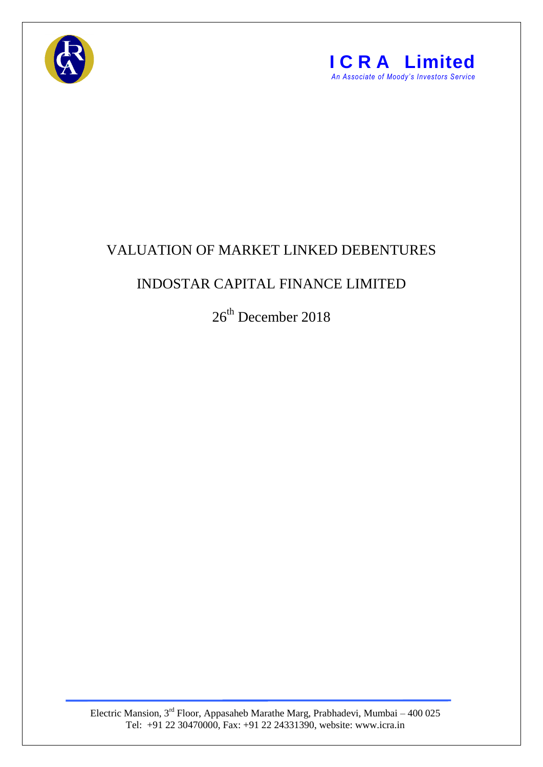



## VALUATION OF MARKET LINKED DEBENTURES

## INDOSTAR CAPITAL FINANCE LIMITED

26<sup>th</sup> December 2018